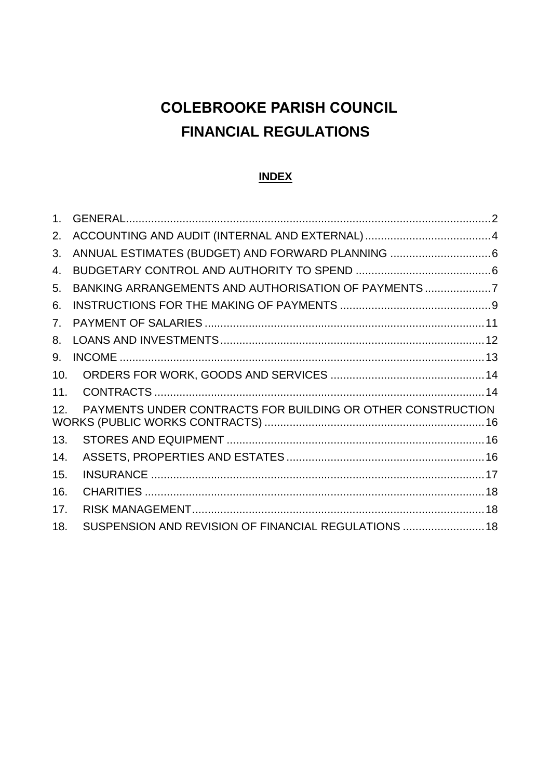# **COLEBROOKE PARISH COUNCIL FINANCIAL REGULATIONS**

#### **INDEX**

| 2.  |                                                             |  |
|-----|-------------------------------------------------------------|--|
| 3.  |                                                             |  |
| 4.  |                                                             |  |
| 5.  | BANKING ARRANGEMENTS AND AUTHORISATION OF PAYMENTS7         |  |
| 6.  |                                                             |  |
| 7.  |                                                             |  |
| 8.  |                                                             |  |
| 9.  |                                                             |  |
| 10. |                                                             |  |
| 11. |                                                             |  |
| 12. | PAYMENTS UNDER CONTRACTS FOR BUILDING OR OTHER CONSTRUCTION |  |
| 13. |                                                             |  |
| 14. |                                                             |  |
| 15. |                                                             |  |
| 16. |                                                             |  |
| 17. |                                                             |  |
| 18. | SUSPENSION AND REVISION OF FINANCIAL REGULATIONS  18        |  |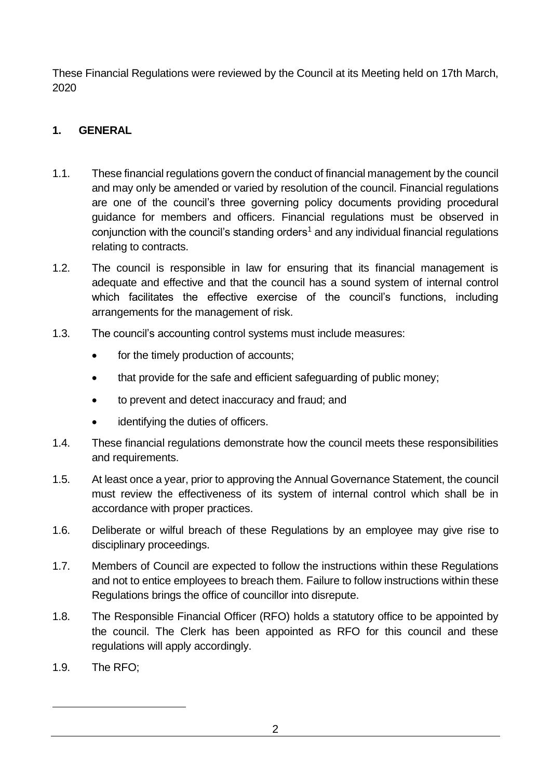These Financial Regulations were reviewed by the Council at its Meeting held on 17th March, 2020

# <span id="page-1-0"></span>**1. GENERAL**

- 1.1. These financial regulations govern the conduct of financial management by the council and may only be amended or varied by resolution of the council. Financial regulations are one of the council's three governing policy documents providing procedural guidance for members and officers. Financial regulations must be observed in conjunction with the council's standing orders<sup>1</sup> and any individual financial regulations relating to contracts.
- 1.2. The council is responsible in law for ensuring that its financial management is adequate and effective and that the council has a sound system of internal control which facilitates the effective exercise of the council's functions, including arrangements for the management of risk.
- 1.3. The council's accounting control systems must include measures:
	- for the timely production of accounts;
	- that provide for the safe and efficient safeguarding of public money;
	- to prevent and detect inaccuracy and fraud; and
	- identifying the duties of officers.
- 1.4. These financial regulations demonstrate how the council meets these responsibilities and requirements.
- 1.5. At least once a year, prior to approving the Annual Governance Statement, the council must review the effectiveness of its system of internal control which shall be in accordance with proper practices.
- 1.6. Deliberate or wilful breach of these Regulations by an employee may give rise to disciplinary proceedings.
- 1.7. Members of Council are expected to follow the instructions within these Regulations and not to entice employees to breach them. Failure to follow instructions within these Regulations brings the office of councillor into disrepute.
- 1.8. The Responsible Financial Officer (RFO) holds a statutory office to be appointed by the council. The Clerk has been appointed as RFO for this council and these regulations will apply accordingly.
- 1.9. The RFO;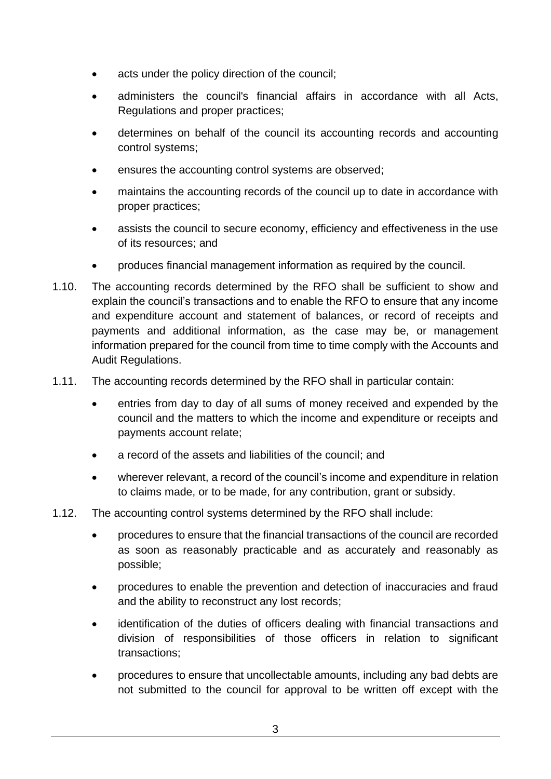- acts under the policy direction of the council;
- administers the council's financial affairs in accordance with all Acts, Regulations and proper practices;
- determines on behalf of the council its accounting records and accounting control systems;
- ensures the accounting control systems are observed;
- maintains the accounting records of the council up to date in accordance with proper practices;
- assists the council to secure economy, efficiency and effectiveness in the use of its resources; and
- produces financial management information as required by the council.
- 1.10. The accounting records determined by the RFO shall be sufficient to show and explain the council's transactions and to enable the RFO to ensure that any income and expenditure account and statement of balances, or record of receipts and payments and additional information, as the case may be, or management information prepared for the council from time to time comply with the Accounts and Audit Regulations.
- 1.11. The accounting records determined by the RFO shall in particular contain:
	- entries from day to day of all sums of money received and expended by the council and the matters to which the income and expenditure or receipts and payments account relate;
	- a record of the assets and liabilities of the council; and
	- wherever relevant, a record of the council's income and expenditure in relation to claims made, or to be made, for any contribution, grant or subsidy.
- 1.12. The accounting control systems determined by the RFO shall include:
	- procedures to ensure that the financial transactions of the council are recorded as soon as reasonably practicable and as accurately and reasonably as possible;
	- procedures to enable the prevention and detection of inaccuracies and fraud and the ability to reconstruct any lost records;
	- identification of the duties of officers dealing with financial transactions and division of responsibilities of those officers in relation to significant transactions;
	- procedures to ensure that uncollectable amounts, including any bad debts are not submitted to the council for approval to be written off except with the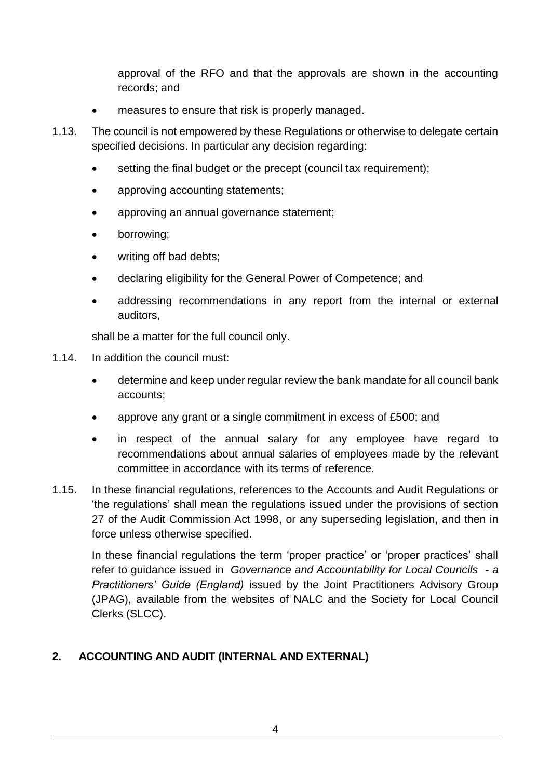approval of the RFO and that the approvals are shown in the accounting records; and

- measures to ensure that risk is properly managed.
- 1.13. The council is not empowered by these Regulations or otherwise to delegate certain specified decisions. In particular any decision regarding:
	- setting the final budget or the precept (council tax requirement);
	- approving accounting statements;
	- approving an annual governance statement;
	- borrowing:
	- writing off bad debts;
	- declaring eligibility for the General Power of Competence; and
	- addressing recommendations in any report from the internal or external auditors,

shall be a matter for the full council only.

- 1.14. In addition the council must:
	- determine and keep under regular review the bank mandate for all council bank accounts;
	- approve any grant or a single commitment in excess of £500; and
	- in respect of the annual salary for any employee have regard to recommendations about annual salaries of employees made by the relevant committee in accordance with its terms of reference.
- 1.15. In these financial regulations, references to the Accounts and Audit Regulations or 'the regulations' shall mean the regulations issued under the provisions of section 27 of the Audit Commission Act 1998, or any superseding legislation, and then in force unless otherwise specified.

In these financial regulations the term 'proper practice' or 'proper practices' shall refer to guidance issued in *Governance and Accountability for Local Councils - a Practitioners' Guide (England)* issued by the Joint Practitioners Advisory Group (JPAG), available from the websites of NALC and the Society for Local Council Clerks (SLCC).

#### <span id="page-3-0"></span>**2. ACCOUNTING AND AUDIT (INTERNAL AND EXTERNAL)**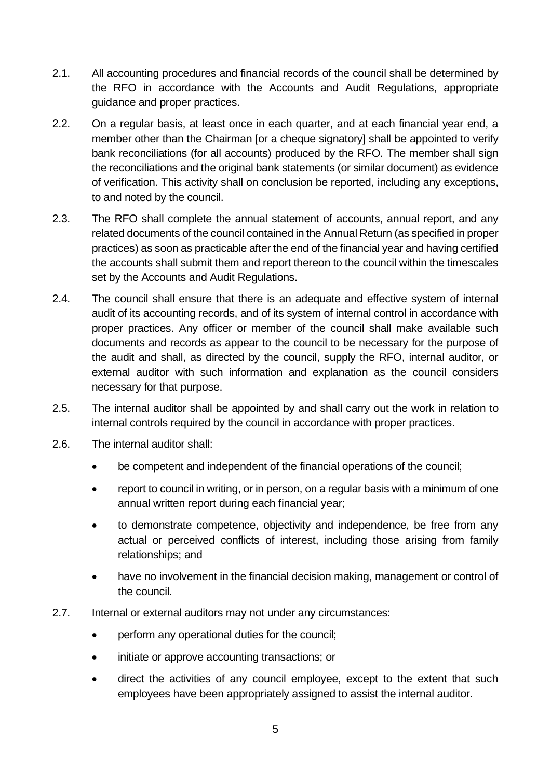- 2.1. All accounting procedures and financial records of the council shall be determined by the RFO in accordance with the Accounts and Audit Regulations, appropriate guidance and proper practices.
- 2.2. On a regular basis, at least once in each quarter, and at each financial year end, a member other than the Chairman [or a cheque signatory] shall be appointed to verify bank reconciliations (for all accounts) produced by the RFO. The member shall sign the reconciliations and the original bank statements (or similar document) as evidence of verification. This activity shall on conclusion be reported, including any exceptions, to and noted by the council.
- 2.3. The RFO shall complete the annual statement of accounts, annual report, and any related documents of the council contained in the Annual Return (as specified in proper practices) as soon as practicable after the end of the financial year and having certified the accounts shall submit them and report thereon to the council within the timescales set by the Accounts and Audit Regulations.
- 2.4. The council shall ensure that there is an adequate and effective system of internal audit of its accounting records, and of its system of internal control in accordance with proper practices. Any officer or member of the council shall make available such documents and records as appear to the council to be necessary for the purpose of the audit and shall, as directed by the council, supply the RFO, internal auditor, or external auditor with such information and explanation as the council considers necessary for that purpose.
- 2.5. The internal auditor shall be appointed by and shall carry out the work in relation to internal controls required by the council in accordance with proper practices.
- 2.6. The internal auditor shall:
	- be competent and independent of the financial operations of the council;
	- report to council in writing, or in person, on a regular basis with a minimum of one annual written report during each financial year;
	- to demonstrate competence, objectivity and independence, be free from any actual or perceived conflicts of interest, including those arising from family relationships; and
	- have no involvement in the financial decision making, management or control of the council.
- 2.7. Internal or external auditors may not under any circumstances:
	- perform any operational duties for the council;
	- initiate or approve accounting transactions; or
	- direct the activities of any council employee, except to the extent that such employees have been appropriately assigned to assist the internal auditor.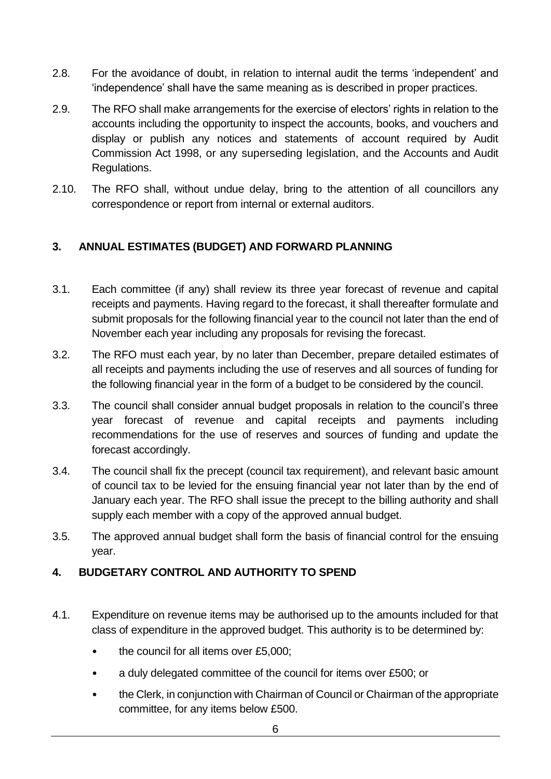- 2.8. For the avoidance of doubt, in relation to internal audit the terms 'independent' and 'independence' shall have the same meaning as is described in proper practices.
- 2.9. The RFO shall make arrangements for the exercise of electors' rights in relation to the accounts including the opportunity to inspect the accounts, books, and vouchers and display or publish any notices and statements of account required by Audit Commission Act 1998, or any superseding legislation, and the Accounts and Audit Regulations.
- 2.10. The RFO shall, without undue delay, bring to the attention of all councillors any correspondence or report from internal or external auditors.

#### <span id="page-5-0"></span>**3. ANNUAL ESTIMATES (BUDGET) AND FORWARD PLANNING**

- 3.1. Each committee (if any) shall review its three year forecast of revenue and capital receipts and payments. Having regard to the forecast, it shall thereafter formulate and submit proposals for the following financial year to the council not later than the end of November each year including any proposals for revising the forecast.
- 3.2. The RFO must each year, by no later than December, prepare detailed estimates of all receipts and payments including the use of reserves and all sources of funding for the following financial year in the form of a budget to be considered by the council.
- 3.3. The council shall consider annual budget proposals in relation to the council's three year forecast of revenue and capital receipts and payments including recommendations for the use of reserves and sources of funding and update the forecast accordingly.
- 3.4. The council shall fix the precept (council tax requirement), and relevant basic amount of council tax to be levied for the ensuing financial year not later than by the end of January each year. The RFO shall issue the precept to the billing authority and shall supply each member with a copy of the approved annual budget.
- 3.5. The approved annual budget shall form the basis of financial control for the ensuing year.

#### <span id="page-5-1"></span>**4. BUDGETARY CONTROL AND AUTHORITY TO SPEND**

- 4.1. Expenditure on revenue items may be authorised up to the amounts included for that class of expenditure in the approved budget. This authority is to be determined by:
	- the council for all items over £5,000;
	- a duly delegated committee of the council for items over £500; or
	- the Clerk, in conjunction with Chairman of Council or Chairman of the appropriate committee, for any items below £500.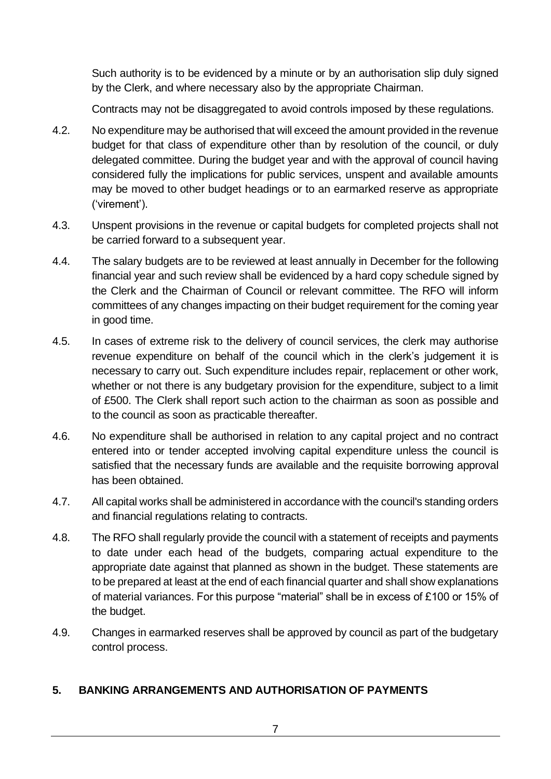Such authority is to be evidenced by a minute or by an authorisation slip duly signed by the Clerk, and where necessary also by the appropriate Chairman.

Contracts may not be disaggregated to avoid controls imposed by these regulations.

- 4.2. No expenditure may be authorised that will exceed the amount provided in the revenue budget for that class of expenditure other than by resolution of the council, or duly delegated committee. During the budget year and with the approval of council having considered fully the implications for public services, unspent and available amounts may be moved to other budget headings or to an earmarked reserve as appropriate ('virement').
- 4.3. Unspent provisions in the revenue or capital budgets for completed projects shall not be carried forward to a subsequent year.
- 4.4. The salary budgets are to be reviewed at least annually in December for the following financial year and such review shall be evidenced by a hard copy schedule signed by the Clerk and the Chairman of Council or relevant committee. The RFO will inform committees of any changes impacting on their budget requirement for the coming year in good time.
- 4.5. In cases of extreme risk to the delivery of council services, the clerk may authorise revenue expenditure on behalf of the council which in the clerk's judgement it is necessary to carry out. Such expenditure includes repair, replacement or other work, whether or not there is any budgetary provision for the expenditure, subject to a limit of £500. The Clerk shall report such action to the chairman as soon as possible and to the council as soon as practicable thereafter.
- 4.6. No expenditure shall be authorised in relation to any capital project and no contract entered into or tender accepted involving capital expenditure unless the council is satisfied that the necessary funds are available and the requisite borrowing approval has been obtained.
- 4.7. All capital works shall be administered in accordance with the council's standing orders and financial regulations relating to contracts.
- 4.8. The RFO shall regularly provide the council with a statement of receipts and payments to date under each head of the budgets, comparing actual expenditure to the appropriate date against that planned as shown in the budget. These statements are to be prepared at least at the end of each financial quarter and shall show explanations of material variances. For this purpose "material" shall be in excess of £100 or 15% of the budget.
- 4.9. Changes in earmarked reserves shall be approved by council as part of the budgetary control process.

#### <span id="page-6-0"></span>**5. BANKING ARRANGEMENTS AND AUTHORISATION OF PAYMENTS**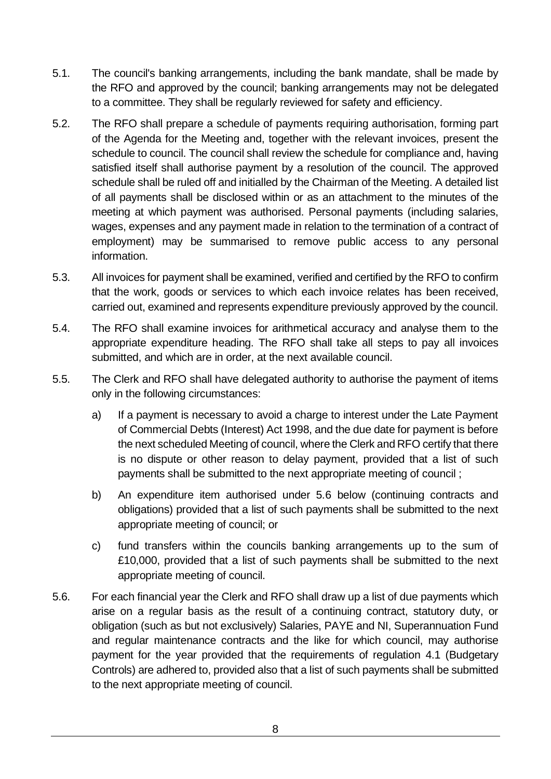- 5.1. The council's banking arrangements, including the bank mandate, shall be made by the RFO and approved by the council; banking arrangements may not be delegated to a committee. They shall be regularly reviewed for safety and efficiency.
- 5.2. The RFO shall prepare a schedule of payments requiring authorisation, forming part of the Agenda for the Meeting and, together with the relevant invoices, present the schedule to council. The council shall review the schedule for compliance and, having satisfied itself shall authorise payment by a resolution of the council. The approved schedule shall be ruled off and initialled by the Chairman of the Meeting. A detailed list of all payments shall be disclosed within or as an attachment to the minutes of the meeting at which payment was authorised. Personal payments (including salaries, wages, expenses and any payment made in relation to the termination of a contract of employment) may be summarised to remove public access to any personal information.
- 5.3. All invoices for payment shall be examined, verified and certified by the RFO to confirm that the work, goods or services to which each invoice relates has been received, carried out, examined and represents expenditure previously approved by the council.
- 5.4. The RFO shall examine invoices for arithmetical accuracy and analyse them to the appropriate expenditure heading. The RFO shall take all steps to pay all invoices submitted, and which are in order, at the next available council.
- 5.5. The Clerk and RFO shall have delegated authority to authorise the payment of items only in the following circumstances:
	- a) If a payment is necessary to avoid a charge to interest under the Late Payment of Commercial Debts (Interest) Act 1998, and the due date for payment is before the next scheduled Meeting of council, where the Clerk and RFO certify that there is no dispute or other reason to delay payment, provided that a list of such payments shall be submitted to the next appropriate meeting of council ;
	- b) An expenditure item authorised under 5.6 below (continuing contracts and obligations) provided that a list of such payments shall be submitted to the next appropriate meeting of council; or
	- c) fund transfers within the councils banking arrangements up to the sum of £10,000, provided that a list of such payments shall be submitted to the next appropriate meeting of council.
- 5.6. For each financial year the Clerk and RFO shall draw up a list of due payments which arise on a regular basis as the result of a continuing contract, statutory duty, or obligation (such as but not exclusively) Salaries, PAYE and NI, Superannuation Fund and regular maintenance contracts and the like for which council, may authorise payment for the year provided that the requirements of regulation 4.1 (Budgetary Controls) are adhered to, provided also that a list of such payments shall be submitted to the next appropriate meeting of council.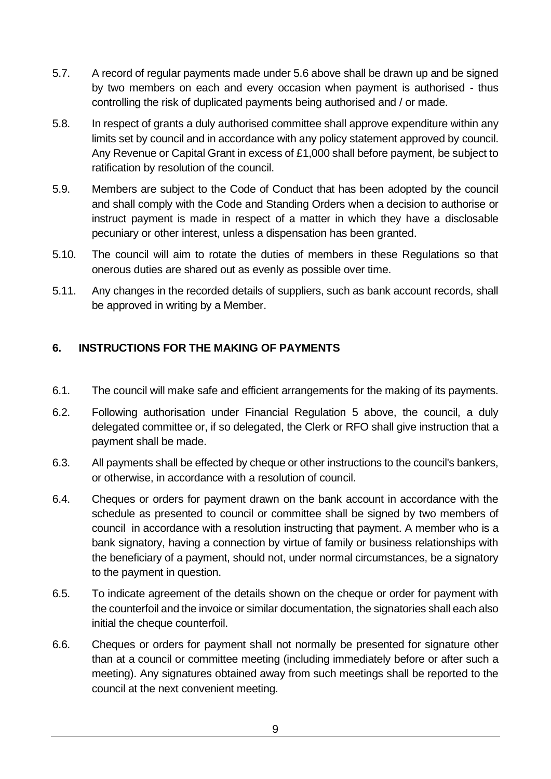- 5.7. A record of regular payments made under 5.6 above shall be drawn up and be signed by two members on each and every occasion when payment is authorised - thus controlling the risk of duplicated payments being authorised and / or made.
- 5.8. In respect of grants a duly authorised committee shall approve expenditure within any limits set by council and in accordance with any policy statement approved by council. Any Revenue or Capital Grant in excess of £1,000 shall before payment, be subject to ratification by resolution of the council.
- 5.9. Members are subject to the Code of Conduct that has been adopted by the council and shall comply with the Code and Standing Orders when a decision to authorise or instruct payment is made in respect of a matter in which they have a disclosable pecuniary or other interest, unless a dispensation has been granted.
- 5.10. The council will aim to rotate the duties of members in these Regulations so that onerous duties are shared out as evenly as possible over time.
- 5.11. Any changes in the recorded details of suppliers, such as bank account records, shall be approved in writing by a Member.

#### <span id="page-8-0"></span>**6. INSTRUCTIONS FOR THE MAKING OF PAYMENTS**

- 6.1. The council will make safe and efficient arrangements for the making of its payments.
- 6.2. Following authorisation under Financial Regulation 5 above, the council, a duly delegated committee or, if so delegated, the Clerk or RFO shall give instruction that a payment shall be made.
- 6.3. All payments shall be effected by cheque or other instructions to the council's bankers, or otherwise, in accordance with a resolution of council.
- 6.4. Cheques or orders for payment drawn on the bank account in accordance with the schedule as presented to council or committee shall be signed by two members of council in accordance with a resolution instructing that payment. A member who is a bank signatory, having a connection by virtue of family or business relationships with the beneficiary of a payment, should not, under normal circumstances, be a signatory to the payment in question.
- 6.5. To indicate agreement of the details shown on the cheque or order for payment with the counterfoil and the invoice or similar documentation, the signatories shall each also initial the cheque counterfoil.
- 6.6. Cheques or orders for payment shall not normally be presented for signature other than at a council or committee meeting (including immediately before or after such a meeting). Any signatures obtained away from such meetings shall be reported to the council at the next convenient meeting.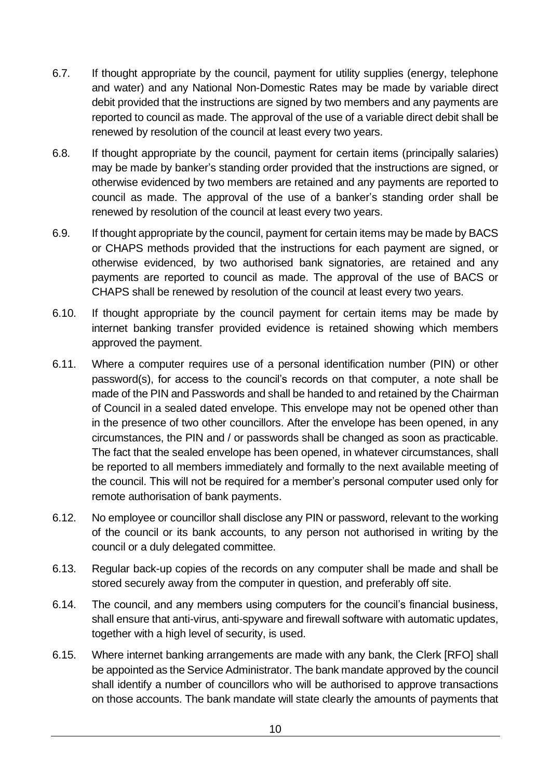- 6.7. If thought appropriate by the council, payment for utility supplies (energy, telephone and water) and any National Non-Domestic Rates may be made by variable direct debit provided that the instructions are signed by two members and any payments are reported to council as made. The approval of the use of a variable direct debit shall be renewed by resolution of the council at least every two years.
- 6.8. If thought appropriate by the council, payment for certain items (principally salaries) may be made by banker's standing order provided that the instructions are signed, or otherwise evidenced by two members are retained and any payments are reported to council as made. The approval of the use of a banker's standing order shall be renewed by resolution of the council at least every two years.
- 6.9. If thought appropriate by the council, payment for certain items may be made by BACS or CHAPS methods provided that the instructions for each payment are signed, or otherwise evidenced, by two authorised bank signatories, are retained and any payments are reported to council as made. The approval of the use of BACS or CHAPS shall be renewed by resolution of the council at least every two years.
- 6.10. If thought appropriate by the council payment for certain items may be made by internet banking transfer provided evidence is retained showing which members approved the payment.
- 6.11. Where a computer requires use of a personal identification number (PIN) or other password(s), for access to the council's records on that computer, a note shall be made of the PIN and Passwords and shall be handed to and retained by the Chairman of Council in a sealed dated envelope. This envelope may not be opened other than in the presence of two other councillors. After the envelope has been opened, in any circumstances, the PIN and / or passwords shall be changed as soon as practicable. The fact that the sealed envelope has been opened, in whatever circumstances, shall be reported to all members immediately and formally to the next available meeting of the council. This will not be required for a member's personal computer used only for remote authorisation of bank payments.
- 6.12. No employee or councillor shall disclose any PIN or password, relevant to the working of the council or its bank accounts, to any person not authorised in writing by the council or a duly delegated committee.
- 6.13. Regular back-up copies of the records on any computer shall be made and shall be stored securely away from the computer in question, and preferably off site.
- 6.14. The council, and any members using computers for the council's financial business, shall ensure that anti-virus, anti-spyware and firewall software with automatic updates, together with a high level of security, is used.
- 6.15. Where internet banking arrangements are made with any bank, the Clerk [RFO] shall be appointed as the Service Administrator. The bank mandate approved by the council shall identify a number of councillors who will be authorised to approve transactions on those accounts. The bank mandate will state clearly the amounts of payments that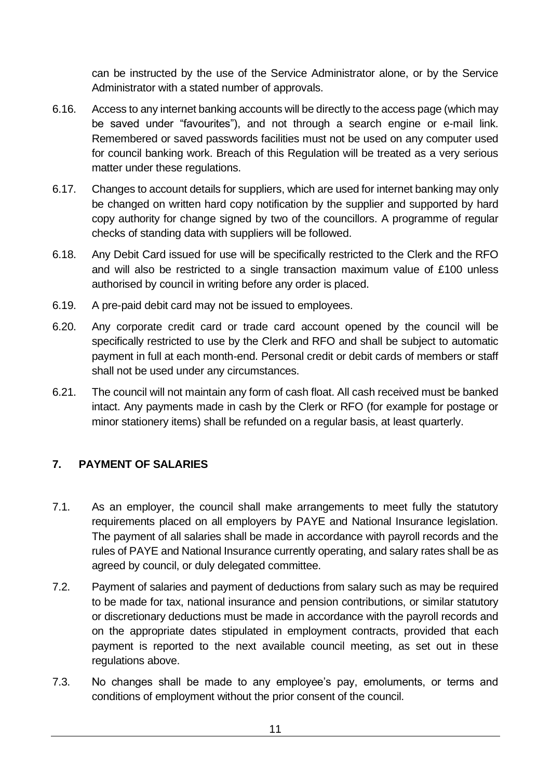can be instructed by the use of the Service Administrator alone, or by the Service Administrator with a stated number of approvals.

- 6.16. Access to any internet banking accounts will be directly to the access page (which may be saved under "favourites"), and not through a search engine or e-mail link. Remembered or saved passwords facilities must not be used on any computer used for council banking work. Breach of this Regulation will be treated as a very serious matter under these regulations.
- 6.17. Changes to account details for suppliers, which are used for internet banking may only be changed on written hard copy notification by the supplier and supported by hard copy authority for change signed by two of the councillors. A programme of regular checks of standing data with suppliers will be followed.
- 6.18. Any Debit Card issued for use will be specifically restricted to the Clerk and the RFO and will also be restricted to a single transaction maximum value of £100 unless authorised by council in writing before any order is placed.
- 6.19. A pre-paid debit card may not be issued to employees.
- 6.20. Any corporate credit card or trade card account opened by the council will be specifically restricted to use by the Clerk and RFO and shall be subject to automatic payment in full at each month-end. Personal credit or debit cards of members or staff shall not be used under any circumstances.
- 6.21. The council will not maintain any form of cash float. All cash received must be banked intact. Any payments made in cash by the Clerk or RFO (for example for postage or minor stationery items) shall be refunded on a regular basis, at least quarterly.

## <span id="page-10-0"></span>**7. PAYMENT OF SALARIES**

- 7.1. As an employer, the council shall make arrangements to meet fully the statutory requirements placed on all employers by PAYE and National Insurance legislation. The payment of all salaries shall be made in accordance with payroll records and the rules of PAYE and National Insurance currently operating, and salary rates shall be as agreed by council, or duly delegated committee.
- 7.2. Payment of salaries and payment of deductions from salary such as may be required to be made for tax, national insurance and pension contributions, or similar statutory or discretionary deductions must be made in accordance with the payroll records and on the appropriate dates stipulated in employment contracts, provided that each payment is reported to the next available council meeting, as set out in these regulations above.
- 7.3. No changes shall be made to any employee's pay, emoluments, or terms and conditions of employment without the prior consent of the council.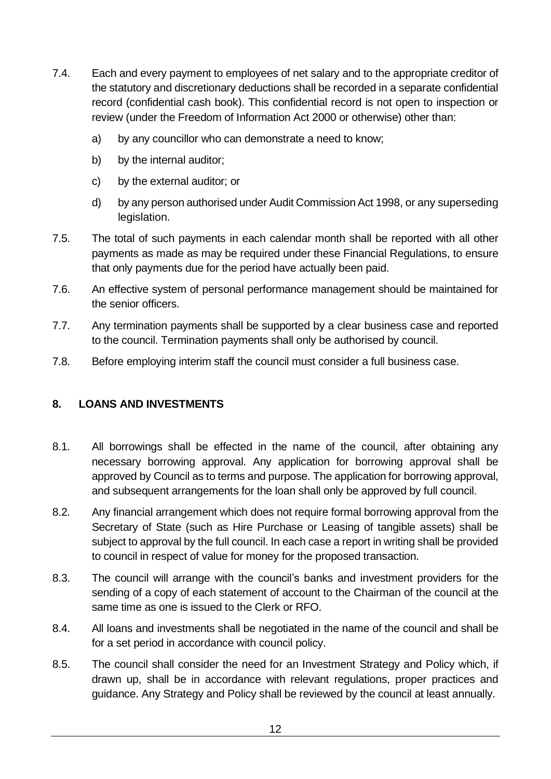- 7.4. Each and every payment to employees of net salary and to the appropriate creditor of the statutory and discretionary deductions shall be recorded in a separate confidential record (confidential cash book). This confidential record is not open to inspection or review (under the Freedom of Information Act 2000 or otherwise) other than:
	- a) by any councillor who can demonstrate a need to know;
	- b) by the internal auditor;
	- c) by the external auditor; or
	- d) by any person authorised under Audit Commission Act 1998, or any superseding legislation.
- 7.5. The total of such payments in each calendar month shall be reported with all other payments as made as may be required under these Financial Regulations, to ensure that only payments due for the period have actually been paid.
- 7.6. An effective system of personal performance management should be maintained for the senior officers.
- 7.7. Any termination payments shall be supported by a clear business case and reported to the council. Termination payments shall only be authorised by council.
- 7.8. Before employing interim staff the council must consider a full business case.

#### <span id="page-11-0"></span>**8. LOANS AND INVESTMENTS**

- 8.1. All borrowings shall be effected in the name of the council, after obtaining any necessary borrowing approval. Any application for borrowing approval shall be approved by Council as to terms and purpose. The application for borrowing approval, and subsequent arrangements for the loan shall only be approved by full council.
- 8.2. Any financial arrangement which does not require formal borrowing approval from the Secretary of State (such as Hire Purchase or Leasing of tangible assets) shall be subject to approval by the full council. In each case a report in writing shall be provided to council in respect of value for money for the proposed transaction.
- 8.3. The council will arrange with the council's banks and investment providers for the sending of a copy of each statement of account to the Chairman of the council at the same time as one is issued to the Clerk or RFO.
- 8.4. All loans and investments shall be negotiated in the name of the council and shall be for a set period in accordance with council policy.
- 8.5. The council shall consider the need for an Investment Strategy and Policy which, if drawn up, shall be in accordance with relevant regulations, proper practices and guidance. Any Strategy and Policy shall be reviewed by the council at least annually.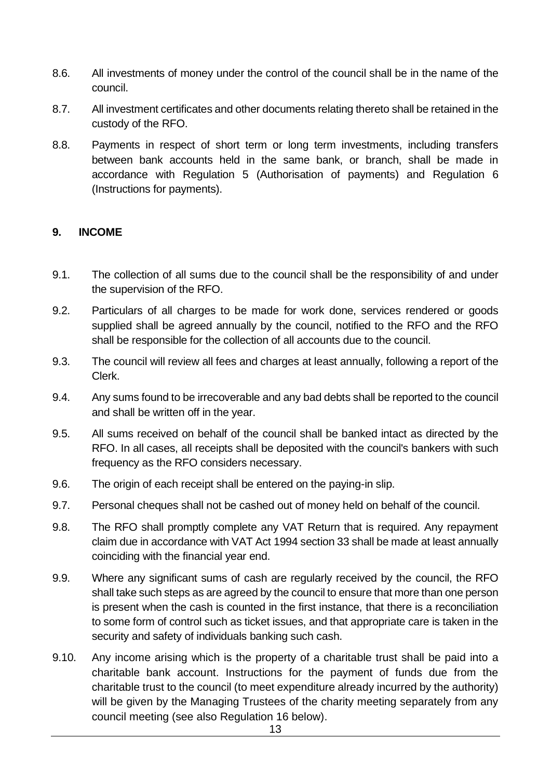- 8.6. All investments of money under the control of the council shall be in the name of the council.
- 8.7. All investment certificates and other documents relating thereto shall be retained in the custody of the RFO.
- 8.8. Payments in respect of short term or long term investments, including transfers between bank accounts held in the same bank, or branch, shall be made in accordance with Regulation 5 (Authorisation of payments) and Regulation 6 (Instructions for payments).

#### <span id="page-12-0"></span>**9. INCOME**

- 9.1. The collection of all sums due to the council shall be the responsibility of and under the supervision of the RFO.
- 9.2. Particulars of all charges to be made for work done, services rendered or goods supplied shall be agreed annually by the council, notified to the RFO and the RFO shall be responsible for the collection of all accounts due to the council.
- 9.3. The council will review all fees and charges at least annually, following a report of the Clerk.
- 9.4. Any sums found to be irrecoverable and any bad debts shall be reported to the council and shall be written off in the year.
- 9.5. All sums received on behalf of the council shall be banked intact as directed by the RFO. In all cases, all receipts shall be deposited with the council's bankers with such frequency as the RFO considers necessary.
- 9.6. The origin of each receipt shall be entered on the paying-in slip.
- 9.7. Personal cheques shall not be cashed out of money held on behalf of the council.
- 9.8. The RFO shall promptly complete any VAT Return that is required. Any repayment claim due in accordance with VAT Act 1994 section 33 shall be made at least annually coinciding with the financial year end.
- 9.9. Where any significant sums of cash are regularly received by the council, the RFO shall take such steps as are agreed by the council to ensure that more than one person is present when the cash is counted in the first instance, that there is a reconciliation to some form of control such as ticket issues, and that appropriate care is taken in the security and safety of individuals banking such cash.
- 9.10. Any income arising which is the property of a charitable trust shall be paid into a charitable bank account. Instructions for the payment of funds due from the charitable trust to the council (to meet expenditure already incurred by the authority) will be given by the Managing Trustees of the charity meeting separately from any council meeting (see also Regulation 16 below).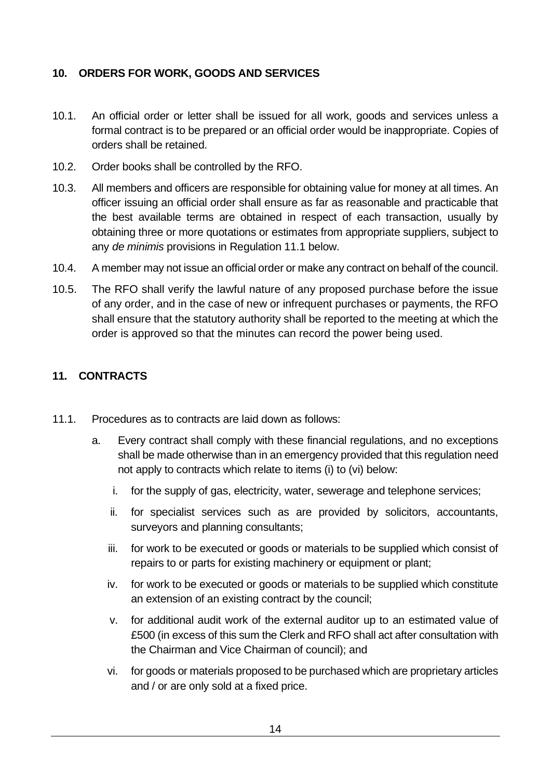#### <span id="page-13-0"></span>**10. ORDERS FOR WORK, GOODS AND SERVICES**

- 10.1. An official order or letter shall be issued for all work, goods and services unless a formal contract is to be prepared or an official order would be inappropriate. Copies of orders shall be retained.
- 10.2. Order books shall be controlled by the RFO.
- 10.3. All members and officers are responsible for obtaining value for money at all times. An officer issuing an official order shall ensure as far as reasonable and practicable that the best available terms are obtained in respect of each transaction, usually by obtaining three or more quotations or estimates from appropriate suppliers, subject to any *de minimis* provisions in Regulation 11.1 below.
- 10.4. A member may not issue an official order or make any contract on behalf of the council.
- 10.5. The RFO shall verify the lawful nature of any proposed purchase before the issue of any order, and in the case of new or infrequent purchases or payments, the RFO shall ensure that the statutory authority shall be reported to the meeting at which the order is approved so that the minutes can record the power being used.

## <span id="page-13-1"></span>**11. CONTRACTS**

- 11.1. Procedures as to contracts are laid down as follows:
	- a. Every contract shall comply with these financial regulations, and no exceptions shall be made otherwise than in an emergency provided that this regulation need not apply to contracts which relate to items (i) to (vi) below:
		- i. for the supply of gas, electricity, water, sewerage and telephone services;
		- ii. for specialist services such as are provided by solicitors, accountants, surveyors and planning consultants;
		- iii. for work to be executed or goods or materials to be supplied which consist of repairs to or parts for existing machinery or equipment or plant;
		- iv. for work to be executed or goods or materials to be supplied which constitute an extension of an existing contract by the council;
		- v. for additional audit work of the external auditor up to an estimated value of £500 (in excess of this sum the Clerk and RFO shall act after consultation with the Chairman and Vice Chairman of council); and
		- vi. for goods or materials proposed to be purchased which are proprietary articles and / or are only sold at a fixed price.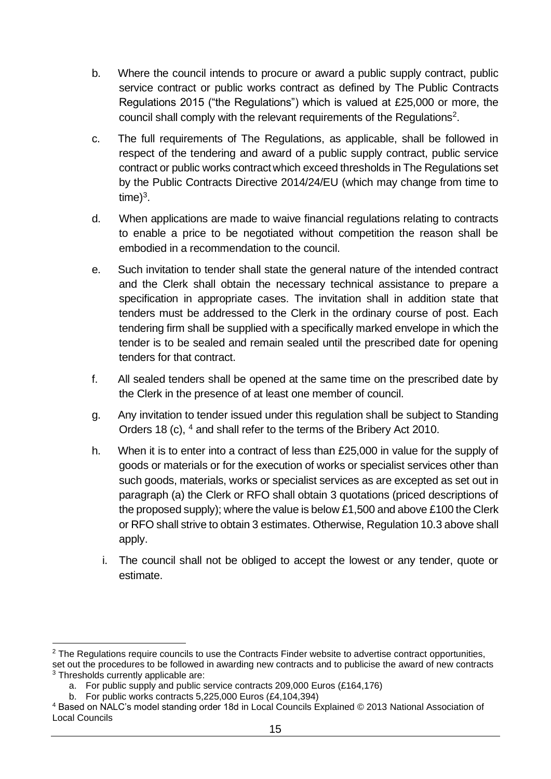- b. Where the council intends to procure or award a public supply contract, public service contract or public works contract as defined by The Public Contracts Regulations 2015 ("the Regulations") which is valued at £25,000 or more, the council shall comply with the relevant requirements of the Regulations<sup>2</sup>.
- c. The full requirements of The Regulations, as applicable, shall be followed in respect of the tendering and award of a public supply contract, public service contract or public works contract which exceed thresholds in The Regulations set by the Public Contracts Directive 2014/24/EU (which may change from time to time $)^3$ .
- d. When applications are made to waive financial regulations relating to contracts to enable a price to be negotiated without competition the reason shall be embodied in a recommendation to the council.
- e. Such invitation to tender shall state the general nature of the intended contract and the Clerk shall obtain the necessary technical assistance to prepare a specification in appropriate cases. The invitation shall in addition state that tenders must be addressed to the Clerk in the ordinary course of post. Each tendering firm shall be supplied with a specifically marked envelope in which the tender is to be sealed and remain sealed until the prescribed date for opening tenders for that contract.
- f. All sealed tenders shall be opened at the same time on the prescribed date by the Clerk in the presence of at least one member of council.
- g. Any invitation to tender issued under this regulation shall be subject to Standing Orders 18 (c), <sup>4</sup> and shall refer to the terms of the Bribery Act 2010.
- h. When it is to enter into a contract of less than £25,000 in value for the supply of goods or materials or for the execution of works or specialist services other than such goods, materials, works or specialist services as are excepted as set out in paragraph (a) the Clerk or RFO shall obtain 3 quotations (priced descriptions of the proposed supply); where the value is below £1,500 and above £100 the Clerk or RFO shall strive to obtain 3 estimates. Otherwise, Regulation 10.3 above shall apply.
	- i. The council shall not be obliged to accept the lowest or any tender, quote or estimate.

 $2$  The Regulations require councils to use the Contracts Finder website to advertise contract opportunities, set out the procedures to be followed in awarding new contracts and to publicise the award of new contracts

<sup>&</sup>lt;sup>3</sup> Thresholds currently applicable are:

a. For public supply and public service contracts 209,000 Euros (£164,176)

b. For public works contracts 5,225,000 Euros (£4,104,394)

<sup>4</sup> Based on NALC's model standing order 18d in Local Councils Explained © 2013 National Association of Local Councils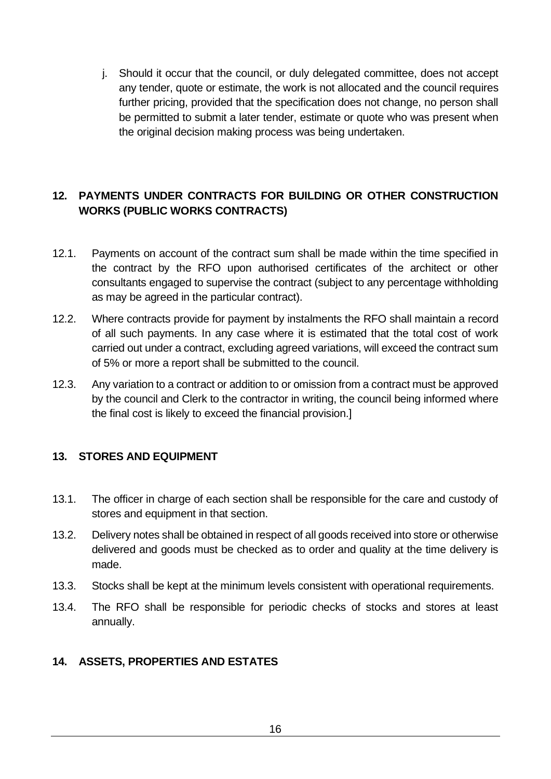j. Should it occur that the council, or duly delegated committee, does not accept any tender, quote or estimate, the work is not allocated and the council requires further pricing, provided that the specification does not change, no person shall be permitted to submit a later tender, estimate or quote who was present when the original decision making process was being undertaken.

#### <span id="page-15-0"></span>**12. PAYMENTS UNDER CONTRACTS FOR BUILDING OR OTHER CONSTRUCTION WORKS (PUBLIC WORKS CONTRACTS)**

- 12.1. Payments on account of the contract sum shall be made within the time specified in the contract by the RFO upon authorised certificates of the architect or other consultants engaged to supervise the contract (subject to any percentage withholding as may be agreed in the particular contract).
- 12.2. Where contracts provide for payment by instalments the RFO shall maintain a record of all such payments. In any case where it is estimated that the total cost of work carried out under a contract, excluding agreed variations, will exceed the contract sum of 5% or more a report shall be submitted to the council.
- 12.3. Any variation to a contract or addition to or omission from a contract must be approved by the council and Clerk to the contractor in writing, the council being informed where the final cost is likely to exceed the financial provision.]

#### <span id="page-15-1"></span>**13. STORES AND EQUIPMENT**

- 13.1. The officer in charge of each section shall be responsible for the care and custody of stores and equipment in that section.
- 13.2. Delivery notes shall be obtained in respect of all goods received into store or otherwise delivered and goods must be checked as to order and quality at the time delivery is made.
- 13.3. Stocks shall be kept at the minimum levels consistent with operational requirements.
- 13.4. The RFO shall be responsible for periodic checks of stocks and stores at least annually.

#### <span id="page-15-2"></span>**14. ASSETS, PROPERTIES AND ESTATES**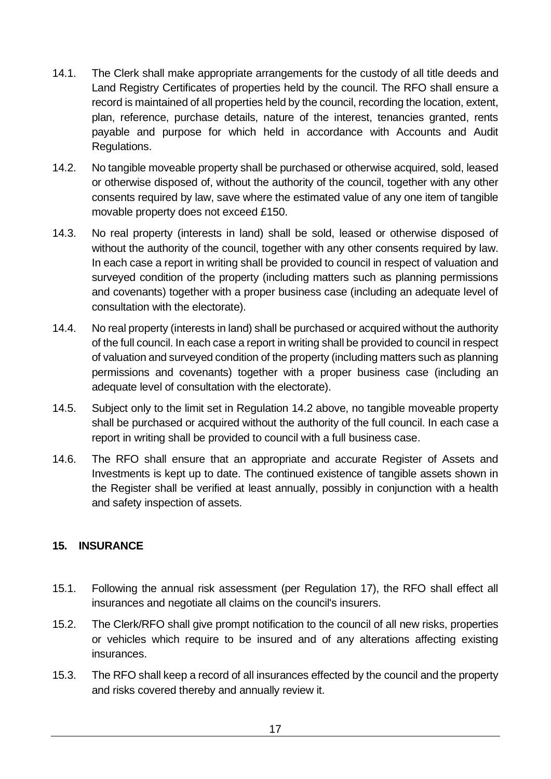- 14.1. The Clerk shall make appropriate arrangements for the custody of all title deeds and Land Registry Certificates of properties held by the council. The RFO shall ensure a record is maintained of all properties held by the council, recording the location, extent, plan, reference, purchase details, nature of the interest, tenancies granted, rents payable and purpose for which held in accordance with Accounts and Audit Regulations.
- 14.2. No tangible moveable property shall be purchased or otherwise acquired, sold, leased or otherwise disposed of, without the authority of the council, together with any other consents required by law, save where the estimated value of any one item of tangible movable property does not exceed £150.
- 14.3. No real property (interests in land) shall be sold, leased or otherwise disposed of without the authority of the council, together with any other consents required by law. In each case a report in writing shall be provided to council in respect of valuation and surveyed condition of the property (including matters such as planning permissions and covenants) together with a proper business case (including an adequate level of consultation with the electorate).
- 14.4. No real property (interests in land) shall be purchased or acquired without the authority of the full council. In each case a report in writing shall be provided to council in respect of valuation and surveyed condition of the property (including matters such as planning permissions and covenants) together with a proper business case (including an adequate level of consultation with the electorate).
- 14.5. Subject only to the limit set in Regulation 14.2 above, no tangible moveable property shall be purchased or acquired without the authority of the full council. In each case a report in writing shall be provided to council with a full business case.
- 14.6. The RFO shall ensure that an appropriate and accurate Register of Assets and Investments is kept up to date. The continued existence of tangible assets shown in the Register shall be verified at least annually, possibly in conjunction with a health and safety inspection of assets.

#### <span id="page-16-0"></span>**15. INSURANCE**

- 15.1. Following the annual risk assessment (per Regulation 17), the RFO shall effect all insurances and negotiate all claims on the council's insurers.
- 15.2. The Clerk/RFO shall give prompt notification to the council of all new risks, properties or vehicles which require to be insured and of any alterations affecting existing insurances.
- 15.3. The RFO shall keep a record of all insurances effected by the council and the property and risks covered thereby and annually review it.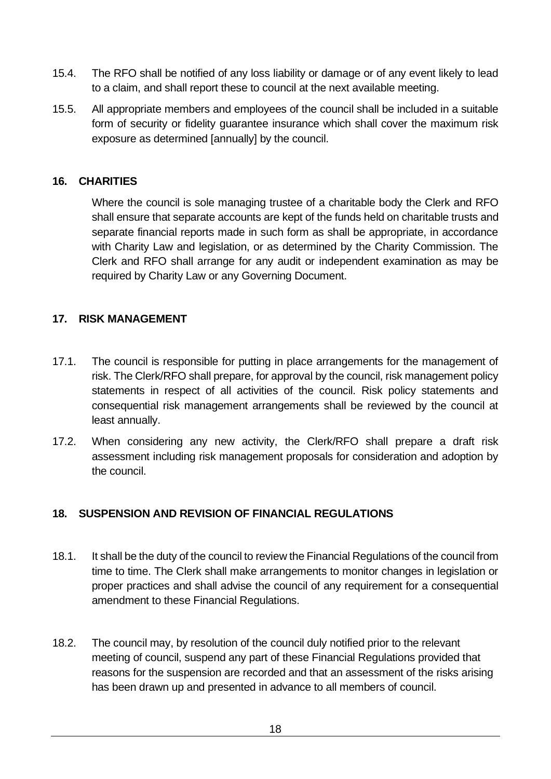- 15.4. The RFO shall be notified of any loss liability or damage or of any event likely to lead to a claim, and shall report these to council at the next available meeting.
- 15.5. All appropriate members and employees of the council shall be included in a suitable form of security or fidelity guarantee insurance which shall cover the maximum risk exposure as determined [annually] by the council.

#### <span id="page-17-0"></span>**16. CHARITIES**

Where the council is sole managing trustee of a charitable body the Clerk and RFO shall ensure that separate accounts are kept of the funds held on charitable trusts and separate financial reports made in such form as shall be appropriate, in accordance with Charity Law and legislation, or as determined by the Charity Commission. The Clerk and RFO shall arrange for any audit or independent examination as may be required by Charity Law or any Governing Document.

#### <span id="page-17-1"></span>**17. RISK MANAGEMENT**

- 17.1. The council is responsible for putting in place arrangements for the management of risk. The Clerk/RFO shall prepare, for approval by the council, risk management policy statements in respect of all activities of the council. Risk policy statements and consequential risk management arrangements shall be reviewed by the council at least annually.
- 17.2. When considering any new activity, the Clerk/RFO shall prepare a draft risk assessment including risk management proposals for consideration and adoption by the council.

#### <span id="page-17-2"></span>**18. SUSPENSION AND REVISION OF FINANCIAL REGULATIONS**

- 18.1. It shall be the duty of the council to review the Financial Regulations of the council from time to time. The Clerk shall make arrangements to monitor changes in legislation or proper practices and shall advise the council of any requirement for a consequential amendment to these Financial Regulations.
- 18.2. The council may, by resolution of the council duly notified prior to the relevant meeting of council, suspend any part of these Financial Regulations provided that reasons for the suspension are recorded and that an assessment of the risks arising has been drawn up and presented in advance to all members of council.